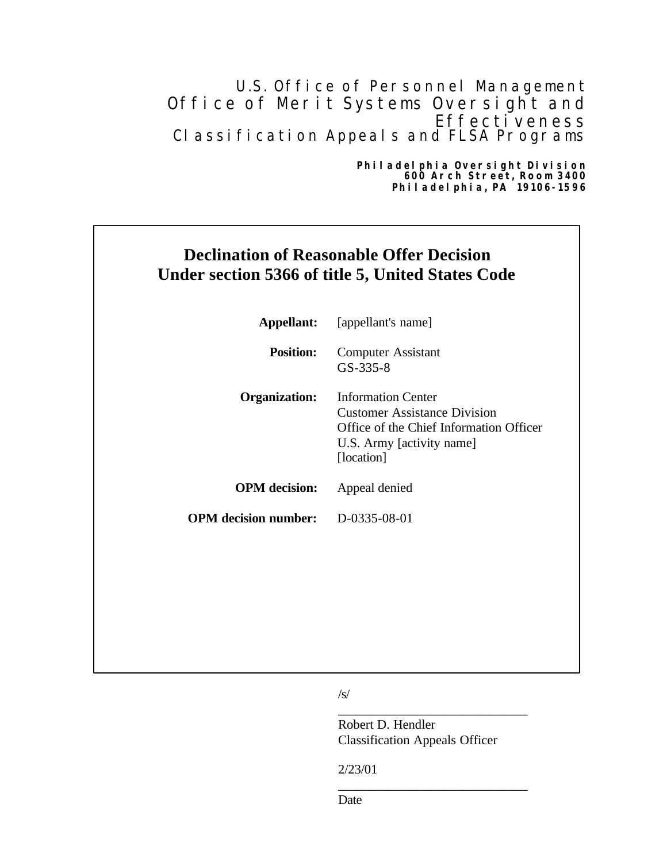# U.S. Office of Personnel Management Office of Merit Systems Oversight and Effectiveness Classification Appeals and FLSA Programs

#### **Philadelphia Oversight Division 600 Arch Street, Room 3400 Philadelphia, PA 19106-1596**

# **Declination of Reasonable Offer Decision Under section 5366 of title 5, United States Code**

|                             | <b>Appellant:</b> [appellant's name]                                                                                                                   |
|-----------------------------|--------------------------------------------------------------------------------------------------------------------------------------------------------|
| <b>Position:</b>            | <b>Computer Assistant</b><br>$GS-335-8$                                                                                                                |
| <b>Organization:</b>        | <b>Information Center</b><br><b>Customer Assistance Division</b><br>Office of the Chief Information Officer<br>U.S. Army [activity name]<br>[location] |
| <b>OPM</b> decision:        | Appeal denied                                                                                                                                          |
| <b>OPM</b> decision number: | D-0335-08-01                                                                                                                                           |

 $/S/$ 

Robert D. Hendler Classification Appeals Officer

\_\_\_\_\_\_\_\_\_\_\_\_\_\_\_\_\_\_\_\_\_\_\_\_\_\_\_\_\_

\_\_\_\_\_\_\_\_\_\_\_\_\_\_\_\_\_\_\_\_\_\_\_\_\_\_\_\_\_

2/23/01

Date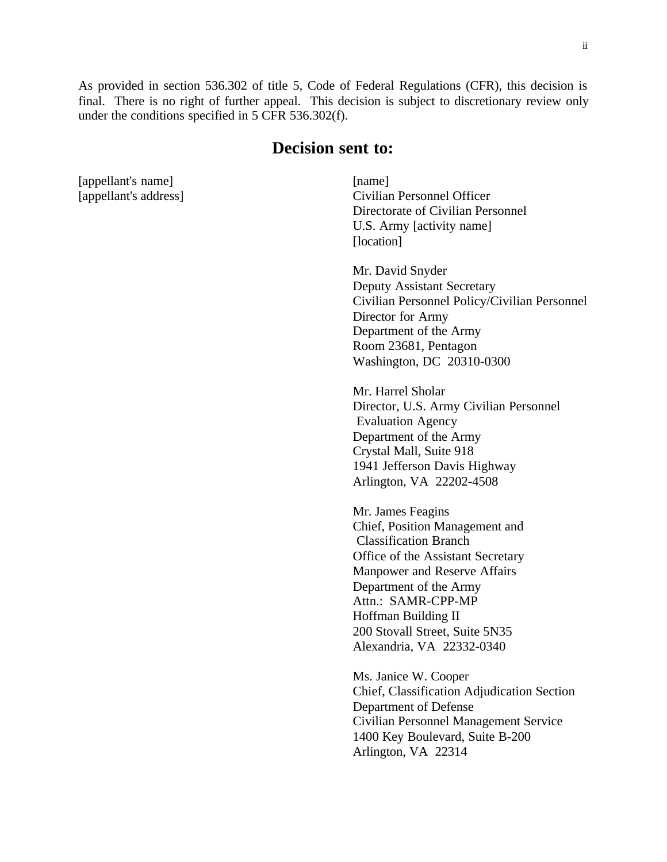As provided in section 536.302 of title 5, Code of Federal Regulations (CFR), this decision is final. There is no right of further appeal. This decision is subject to discretionary review only under the conditions specified in 5 CFR 536.302(f).

## **Decision sent to:**

[appellant's name] [appellant's address]

[name] Civilian Personnel Officer Directorate of Civilian Personnel U.S. Army [activity name] [location]

Mr. David Snyder Deputy Assistant Secretary Civilian Personnel Policy/Civilian Personnel Director for Army Department of the Army Room 23681, Pentagon Washington, DC 20310-0300

Mr. Harrel Sholar Director, U.S. Army Civilian Personnel Evaluation Agency Department of the Army Crystal Mall, Suite 918 1941 Jefferson Davis Highway Arlington, VA 22202-4508

Mr. James Feagins Chief, Position Management and Classification Branch Office of the Assistant Secretary Manpower and Reserve Affairs Department of the Army Attn.: SAMR-CPP-MP Hoffman Building II 200 Stovall Street, Suite 5N35 Alexandria, VA 22332-0340

Ms. Janice W. Cooper Chief, Classification Adjudication Section Department of Defense Civilian Personnel Management Service 1400 Key Boulevard, Suite B-200 Arlington, VA 22314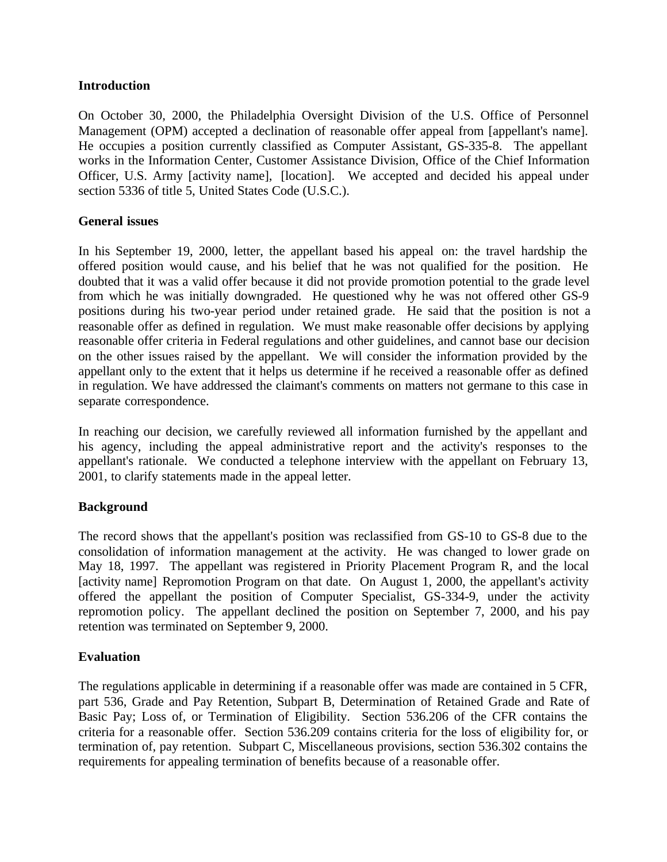#### **Introduction**

On October 30, 2000, the Philadelphia Oversight Division of the U.S. Office of Personnel Management (OPM) accepted a declination of reasonable offer appeal from [appellant's name]. He occupies a position currently classified as Computer Assistant, GS-335-8. The appellant works in the Information Center, Customer Assistance Division, Office of the Chief Information Officer, U.S. Army [activity name], [location]. We accepted and decided his appeal under section 5336 of title 5, United States Code (U.S.C.).

#### **General issues**

In his September 19, 2000, letter, the appellant based his appeal on: the travel hardship the offered position would cause, and his belief that he was not qualified for the position. He doubted that it was a valid offer because it did not provide promotion potential to the grade level from which he was initially downgraded. He questioned why he was not offered other GS-9 positions during his two-year period under retained grade. He said that the position is not a reasonable offer as defined in regulation. We must make reasonable offer decisions by applying reasonable offer criteria in Federal regulations and other guidelines, and cannot base our decision on the other issues raised by the appellant. We will consider the information provided by the appellant only to the extent that it helps us determine if he received a reasonable offer as defined in regulation. We have addressed the claimant's comments on matters not germane to this case in separate correspondence.

In reaching our decision, we carefully reviewed all information furnished by the appellant and his agency, including the appeal administrative report and the activity's responses to the appellant's rationale. We conducted a telephone interview with the appellant on February 13, 2001, to clarify statements made in the appeal letter.

### **Background**

The record shows that the appellant's position was reclassified from GS-10 to GS-8 due to the consolidation of information management at the activity. He was changed to lower grade on May 18, 1997. The appellant was registered in Priority Placement Program R, and the local [activity name] Repromotion Program on that date. On August 1, 2000, the appellant's activity offered the appellant the position of Computer Specialist, GS-334-9, under the activity repromotion policy. The appellant declined the position on September 7, 2000, and his pay retention was terminated on September 9, 2000.

### **Evaluation**

The regulations applicable in determining if a reasonable offer was made are contained in 5 CFR, part 536, Grade and Pay Retention, Subpart B, Determination of Retained Grade and Rate of Basic Pay; Loss of, or Termination of Eligibility. Section 536.206 of the CFR contains the criteria for a reasonable offer. Section 536.209 contains criteria for the loss of eligibility for, or termination of, pay retention. Subpart C, Miscellaneous provisions, section 536.302 contains the requirements for appealing termination of benefits because of a reasonable offer.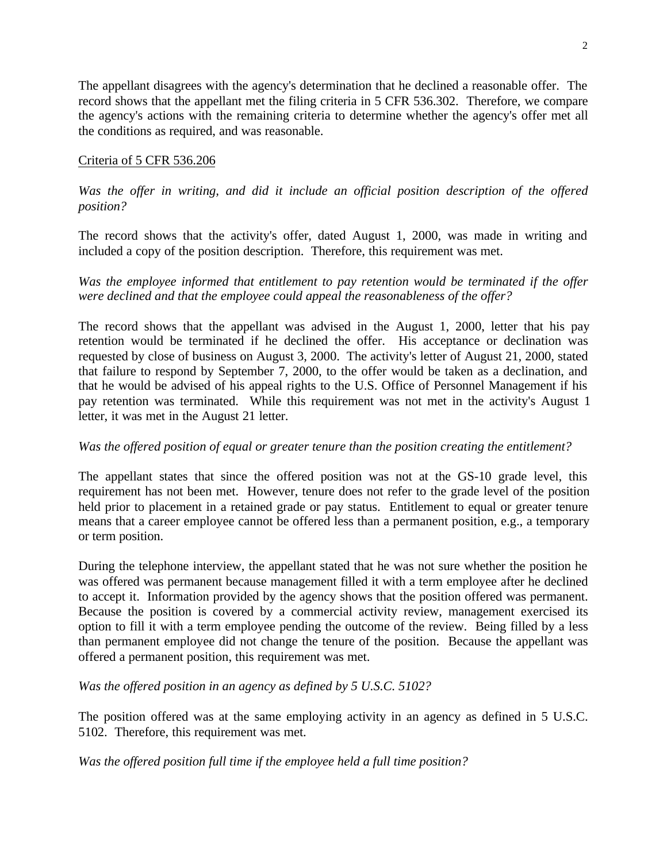The appellant disagrees with the agency's determination that he declined a reasonable offer. The record shows that the appellant met the filing criteria in 5 CFR 536.302. Therefore, we compare the agency's actions with the remaining criteria to determine whether the agency's offer met all the conditions as required, and was reasonable.

#### Criteria of 5 CFR 536.206

Was the offer in writing, and did it include an official position description of the offered *position?* 

The record shows that the activity's offer, dated August 1, 2000, was made in writing and included a copy of the position description. Therefore, this requirement was met.

*Was the employee informed that entitlement to pay retention would be terminated if the offer were declined and that the employee could appeal the reasonableness of the offer?* 

The record shows that the appellant was advised in the August 1, 2000, letter that his pay retention would be terminated if he declined the offer. His acceptance or declination was requested by close of business on August 3, 2000. The activity's letter of August 21, 2000, stated that failure to respond by September 7, 2000, to the offer would be taken as a declination, and that he would be advised of his appeal rights to the U.S. Office of Personnel Management if his pay retention was terminated. While this requirement was not met in the activity's August 1 letter, it was met in the August 21 letter.

#### *Was the offered position of equal or greater tenure than the position creating the entitlement?*

The appellant states that since the offered position was not at the GS-10 grade level, this requirement has not been met. However, tenure does not refer to the grade level of the position held prior to placement in a retained grade or pay status. Entitlement to equal or greater tenure means that a career employee cannot be offered less than a permanent position, e.g., a temporary or term position.

During the telephone interview, the appellant stated that he was not sure whether the position he was offered was permanent because management filled it with a term employee after he declined to accept it. Information provided by the agency shows that the position offered was permanent. Because the position is covered by a commercial activity review, management exercised its option to fill it with a term employee pending the outcome of the review. Being filled by a less than permanent employee did not change the tenure of the position. Because the appellant was offered a permanent position, this requirement was met.

*Was the offered position in an agency as defined by 5 U.S.C. 5102?* 

The position offered was at the same employing activity in an agency as defined in 5 U.S.C. 5102. Therefore, this requirement was met.

*Was the offered position full time if the employee held a full time position?*